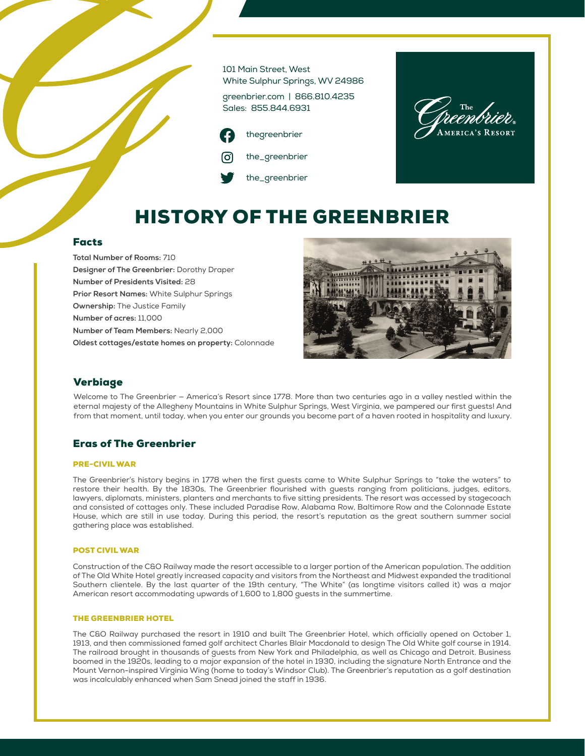101 Main Street, West White Sulphur Springs, WV 24986

greenbrier.com | 866.810.4235 Sales: 855.844.6931

thegreenbrier the\_greenbrier the\_greenbrier



# HISTORY OF THE GREENBRIER

# Facts

**Total Number of Rooms:** 710 **Designer of The Greenbrier:** Dorothy Draper **Number of Presidents Visited:** 28 **Prior Resort Names:** White Sulphur Springs **Ownership:** The Justice Family **Number of acres:** 11,000 **Number of Team Members:** Nearly 2,000 **Oldest cottages/estate homes on property:** Colonnade



# Verbiage

Welcome to The Greenbrier — America's Resort since 1778. More than two centuries ago in a valley nestled within the eternal majesty of the Allegheny Mountains in White Sulphur Springs, West Virginia, we pampered our first guests! And from that moment, until today, when you enter our grounds you become part of a haven rooted in hospitality and luxury.

# Eras of The Greenbrier

### PRE-CIVIL WAR

The Greenbrier's history begins in 1778 when the first guests came to White Sulphur Springs to "take the waters" to restore their health. By the 1830s, The Greenbrier flourished with guests ranging from politicians, judges, editors, lawyers, diplomats, ministers, planters and merchants to five sitting presidents. The resort was accessed by stagecoach and consisted of cottages only. These included Paradise Row, Alabama Row, Baltimore Row and the Colonnade Estate House, which are still in use today. During this period, the resort's reputation as the great southern summer social gathering place was established.

# POST CIVIL WAR

Construction of the C&O Railway made the resort accessible to a larger portion of the American population. The addition of The Old White Hotel greatly increased capacity and visitors from the Northeast and Midwest expanded the traditional Southern clientele. By the last quarter of the 19th century, "The White" (as longtime visitors called it) was a major American resort accommodating upwards of 1,600 to 1,800 guests in the summertime.

### THE GREENBRIER HOTEL

The C&O Railway purchased the resort in 1910 and built The Greenbrier Hotel, which officially opened on October 1, 1913, and then commissioned famed golf architect Charles Blair Macdonald to design The Old White golf course in 1914. The railroad brought in thousands of guests from New York and Philadelphia, as well as Chicago and Detroit. Business boomed in the 1920s, leading to a major expansion of the hotel in 1930, including the signature North Entrance and the Mount Vernon-inspired Virginia Wing (home to today's Windsor Club). The Greenbrier's reputation as a golf destination was incalculably enhanced when Sam Snead joined the staff in 1936.